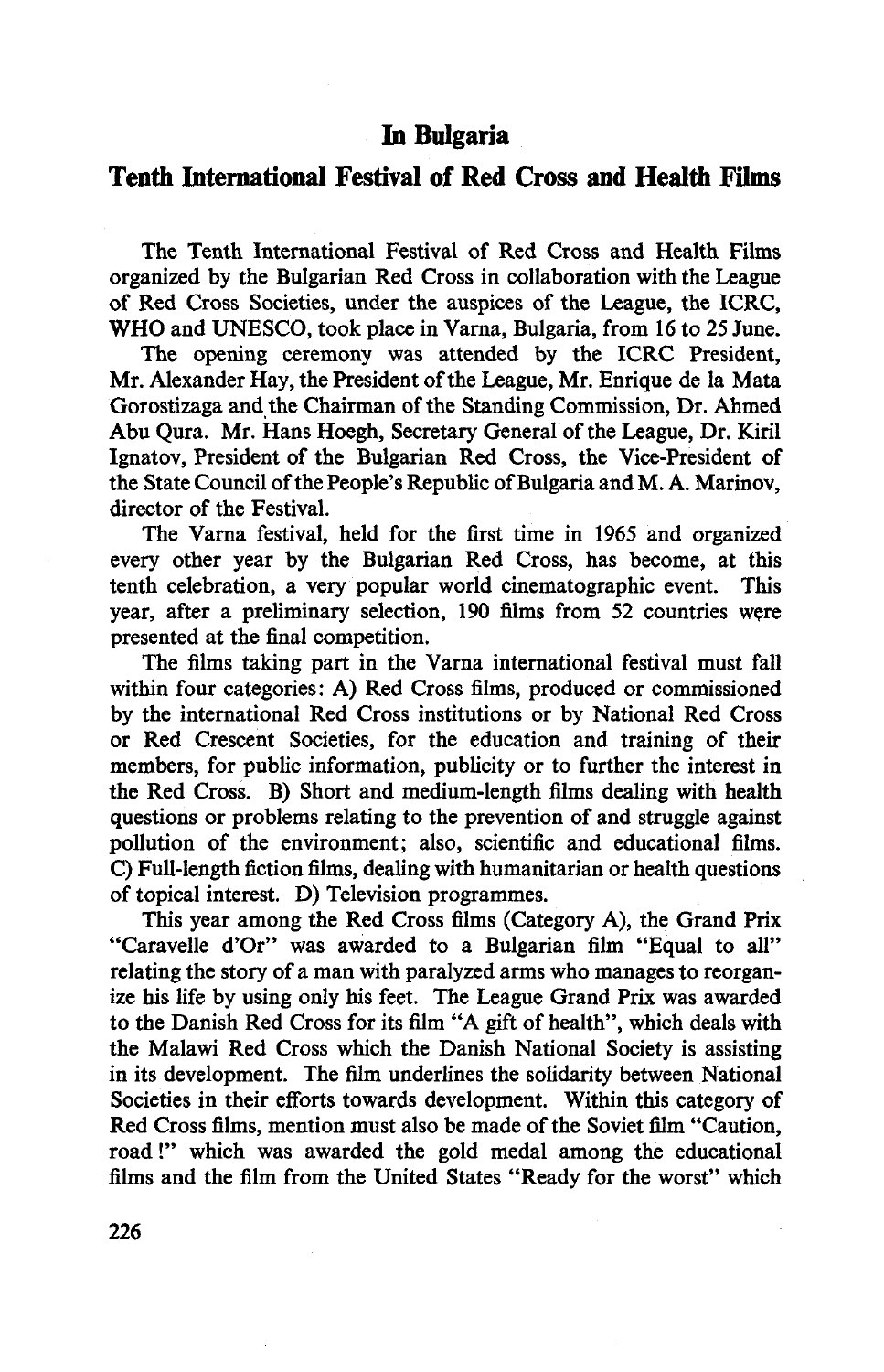## **In Bulgaria**

## **Tenth International Festival of Red Cross and Health Films**

The Tenth International Festival of Red Cross and Health Films organized by the Bulgarian Red Cross in collaboration with the League of Red Cross Societies, under the auspices of the League, the ICRC, WHO and UNESCO, took place in Varna, Bulgaria, from 16 to 25 June.

The opening ceremony was attended by the ICRC President, Mr. Alexander Hay, the President of the League, Mr. Enrique de la Mata Gorostizaga and the Chairman of the Standing Commission, Dr. Ahmed Abu Qura. Mr. Hans Hoegh, Secretary General of the League, Dr. Kiril Ignatov, President of the Bulgarian Red Cross, the Vice-President of the State Council of the People's Republic of Bulgaria and M. A. Marinov, director of the Festival.

The Varna festival, held for the first time in 1965 and organized every other year by the Bulgarian Red Cross, has become, at this tenth celebration, a very popular world cinematographic event. This year, after a preliminary selection, 190 films from 52 countries were presented at the final competition.

The films taking part in the Varna international festival must fall within four categories: A) Red Cross films, produced or commissioned by the international Red Cross institutions or by National Red Cross or Red Crescent Societies, for the education and training of their members, for public information, publicity or to further the interest in the Red Cross. B) Short and medium-length films dealing with health questions or problems relating to the prevention of and struggle against pollution of the environment; also, scientific and educational films. C) Full-length fiction films, dealing with humanitarian or health questions of topical interest. D) Television programmes.

This year among the Red Cross films (Category A), the Grand Prix "Caravelle d'Or" was awarded to a Bulgarian film "Equal to all" relating the story of a man with paralyzed arms who manages to reorganize his life by using only his feet. The League Grand Prix was awarded to the Danish Red Cross for its film "A gift of health", which deals with the Malawi Red Cross which the Danish National Society is assisting in its development. The film underlines the solidarity between National Societies in their efforts towards development. Within this category of Red Cross films, mention must also be made of the Soviet film "Caution, road!" which was awarded the gold medal among the educational films and the film from the United States "Ready for the worst" which